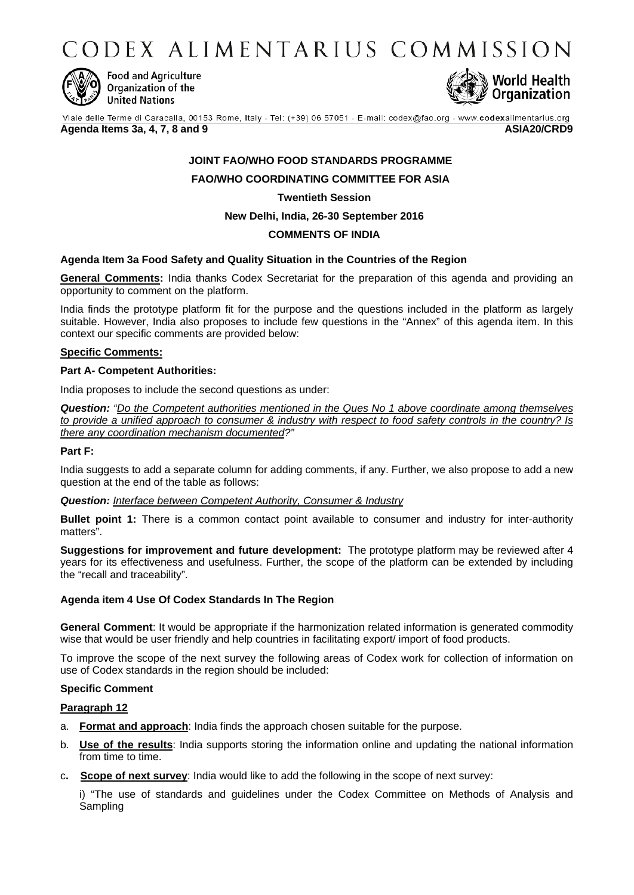CODEX ALIMENTARIUS COMMISSION



**Food and Agriculture** Organization of the **United Nations** 



Viale delle Terme di Caracalla, 00153 Rome, Italy - Tel: (+39) 06 57051 - E-mail: codex@fao.org - www.codexalimentarius.org

**Agenda Items 3a, 4, 7, 8 and 9 ASIA20/CRD9**

# **JOINT FAO/WHO FOOD STANDARDS PROGRAMME**

**FAO/WHO COORDINATING COMMITTEE FOR ASIA**

# **Twentieth Session**

**New Delhi, India, 26-30 September 2016**

# **COMMENTS OF INDIA**

### **Agenda Item 3a Food Safety and Quality Situation in the Countries of the Region**

**General Comments:** India thanks Codex Secretariat for the preparation of this agenda and providing an opportunity to comment on the platform.

India finds the prototype platform fit for the purpose and the questions included in the platform as largely suitable. However, India also proposes to include few questions in the "Annex" of this agenda item. In this context our specific comments are provided below:

### **Specific Comments:**

#### **Part A- Competent Authorities:**

India proposes to include the second questions as under:

*Question: "Do the Competent authorities mentioned in the Ques No 1 above coordinate among themselves to provide a unified approach to consumer & industry with respect to food safety controls in the country? Is there any coordination mechanism documented?"*

### **Part F:**

India suggests to add a separate column for adding comments, if any. Further, we also propose to add a new question at the end of the table as follows:

### *Question: Interface between Competent Authority, Consumer & Industry*

**Bullet point 1:** There is a common contact point available to consumer and industry for inter-authority matters".

**Suggestions for improvement and future development:** The prototype platform may be reviewed after 4 years for its effectiveness and usefulness. Further, the scope of the platform can be extended by including the "recall and traceability".

### **Agenda item 4 Use Of Codex Standards In The Region**

**General Comment**: It would be appropriate if the harmonization related information is generated commodity wise that would be user friendly and help countries in facilitating export/ import of food products.

To improve the scope of the next survey the following areas of Codex work for collection of information on use of Codex standards in the region should be included:

### **Specific Comment**

### **Paragraph 12**

- a. **Format and approach**: India finds the approach chosen suitable for the purpose.
- b. **Use of the results**: India supports storing the information online and updating the national information from time to time.
- c**. Scope of next survey**: India would like to add the following in the scope of next survey:

i) "The use of standards and guidelines under the Codex Committee on Methods of Analysis and Sampling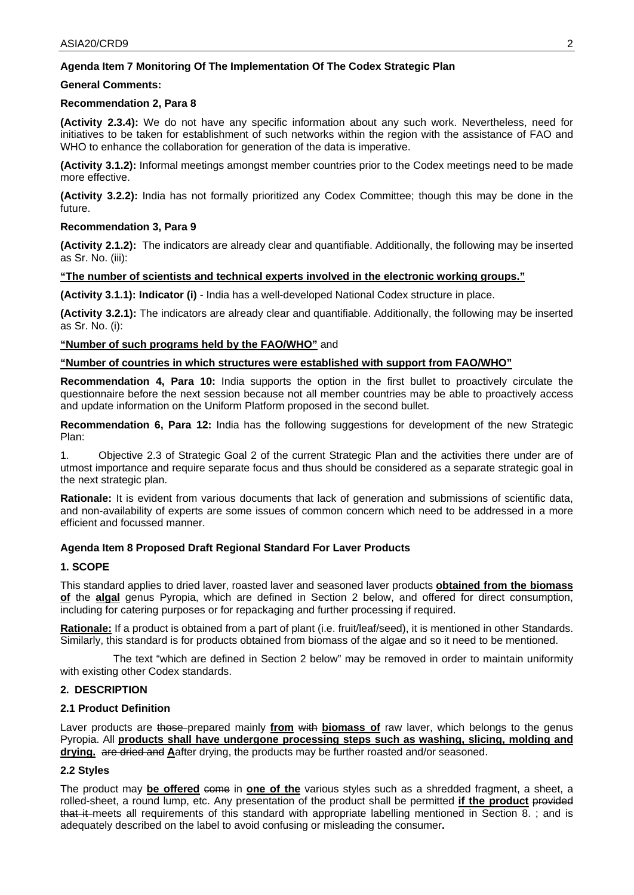# **Agenda Item 7 Monitoring Of The Implementation Of The Codex Strategic Plan**

# **General Comments:**

### **Recommendation 2, Para 8**

**(Activity 2.3.4):** We do not have any specific information about any such work. Nevertheless, need for initiatives to be taken for establishment of such networks within the region with the assistance of FAO and WHO to enhance the collaboration for generation of the data is imperative.

**(Activity 3.1.2):** Informal meetings amongst member countries prior to the Codex meetings need to be made more effective.

**(Activity 3.2.2):** India has not formally prioritized any Codex Committee; though this may be done in the future.

### **Recommendation 3, Para 9**

**(Activity 2.1.2):** The indicators are already clear and quantifiable. Additionally, the following may be inserted as Sr. No. (iii):

### **"The number of scientists and technical experts involved in the electronic working groups."**

**(Activity 3.1.1): Indicator (i)** - India has a well-developed National Codex structure in place.

**(Activity 3.2.1):** The indicators are already clear and quantifiable. Additionally, the following may be inserted as Sr. No. (i):

### **"Number of such programs held by the FAO/WHO"** and

**"Number of countries in which structures were established with support from FAO/WHO"**

**Recommendation 4, Para 10:** India supports the option in the first bullet to proactively circulate the questionnaire before the next session because not all member countries may be able to proactively access and update information on the Uniform Platform proposed in the second bullet.

**Recommendation 6, Para 12:** India has the following suggestions for development of the new Strategic Plan:

1. Objective 2.3 of Strategic Goal 2 of the current Strategic Plan and the activities there under are of utmost importance and require separate focus and thus should be considered as a separate strategic goal in the next strategic plan.

**Rationale:** It is evident from various documents that lack of generation and submissions of scientific data, and non-availability of experts are some issues of common concern which need to be addressed in a more efficient and focussed manner.

# **Agenda Item 8 Proposed Draft Regional Standard For Laver Products**

### **1. SCOPE**

This standard applies to dried laver, roasted laver and seasoned laver products **obtained from the biomass of** the **algal** genus Pyropia, which are defined in Section 2 below, and offered for direct consumption, including for catering purposes or for repackaging and further processing if required.

**Rationale:** If a product is obtained from a part of plant (i.e. fruit/leaf/seed), it is mentioned in other Standards. Similarly, this standard is for products obtained from biomass of the algae and so it need to be mentioned.

 The text "which are defined in Section 2 below" may be removed in order to maintain uniformity with existing other Codex standards.

# **2. DESCRIPTION**

### **2.1 Product Definition**

Laver products are those prepared mainly **from** with **biomass of** raw laver, which belongs to the genus Pyropia. All **products shall have undergone processing steps such as washing, slicing, molding and drying.** are dried and **A**after drying, the products may be further roasted and/or seasoned.

# **2.2 Styles**

The product may **be offered** come in **one of the** various styles such as a shredded fragment, a sheet, a rolled-sheet, a round lump, etc. Any presentation of the product shall be permitted **if the product** provided that it meets all requirements of this standard with appropriate labelling mentioned in Section 8. ; and is adequately described on the label to avoid confusing or misleading the consumer**.**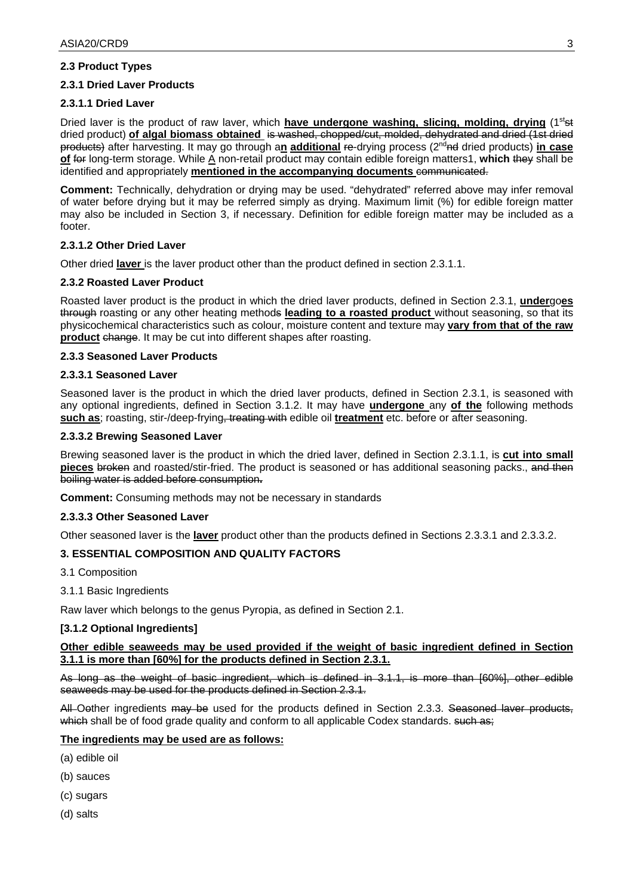# **2.3 Product Types**

# **2.3.1 Dried Laver Products**

### **2.3.1.1 Dried Laver**

Dried laver is the product of raw laver, which **have undergone washing, slicing, molding, drying** (1<sup>st</sup>st dried product) **of algal biomass obtained** is washed, chopped/cut, molded, dehydrated and dried (1st dried products) after harvesting. It may go through a**n additional** re-drying process (2ndnd dried products) **in case of** for long-term storage. While A non-retail product may contain edible foreign matters1, **which** they shall be identified and appropriately mentioned in the accompanying documents communicated.

**Comment:** Technically, dehydration or drying may be used. "dehydrated" referred above may infer removal of water before drying but it may be referred simply as drying. Maximum limit (%) for edible foreign matter may also be included in Section 3, if necessary. Definition for edible foreign matter may be included as a footer.

### **2.3.1.2 Other Dried Laver**

Other dried **laver** is the laver product other than the product defined in section 2.3.1.1.

### **2.3.2 Roasted Laver Product**

Roasted laver product is the product in which the dried laver products, defined in Section 2.3.1, **under**go**es**  through roasting or any other heating methods **leading to a roasted product** without seasoning, so that its physicochemical characteristics such as colour, moisture content and texture may **vary from that of the raw product** change. It may be cut into different shapes after roasting.

### **2.3.3 Seasoned Laver Products**

### **2.3.3.1 Seasoned Laver**

Seasoned laver is the product in which the dried laver products, defined in Section 2.3.1, is seasoned with any optional ingredients, defined in Section 3.1.2. It may have **undergone** any **of the** following methods **such as**; roasting, stir-/deep-frying, treating with edible oil **treatment** etc. before or after seasoning.

### **2.3.3.2 Brewing Seasoned Laver**

Brewing seasoned laver is the product in which the dried laver, defined in Section 2.3.1.1, is **cut into small pieces** broken and roasted/stir-fried. The product is seasoned or has additional seasoning packs., and then boiling water is added before consumption**.** 

**Comment:** Consuming methods may not be necessary in standards

### **2.3.3.3 Other Seasoned Laver**

Other seasoned laver is the **laver** product other than the products defined in Sections 2.3.3.1 and 2.3.3.2.

# **3. ESSENTIAL COMPOSITION AND QUALITY FACTORS**

- 3.1 Composition
- 3.1.1 Basic Ingredients

Raw laver which belongs to the genus Pyropia, as defined in Section 2.1.

### **[3.1.2 Optional Ingredients]**

### **Other edible seaweeds may be used provided if the weight of basic ingredient defined in Section 3.1.1 is more than [60%] for the products defined in Section 2.3.1.**

As long as the weight of basic ingredient, which is defined in 3.1.1, is more than [60%], other edible seaweeds may be used for the products defined in Section 2.3.1.

All Oether ingredients may be used for the products defined in Section 2.3.3. Seasoned laver products, which shall be of food grade quality and conform to all applicable Codex standards. such as;

# **The ingredients may be used are as follows:**

- (a) edible oil
- (b) sauces
- (c) sugars
- (d) salts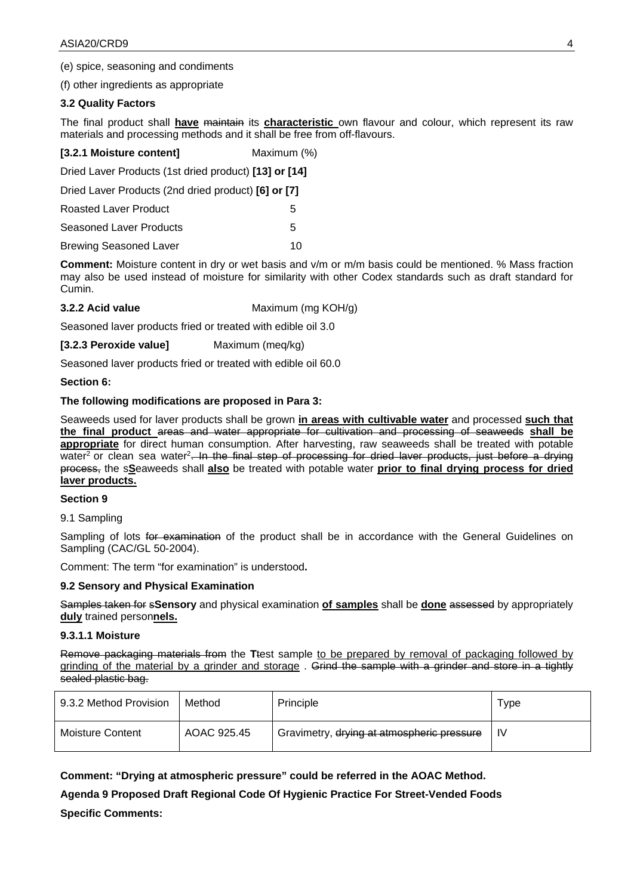(e) spice, seasoning and condiments

(f) other ingredients as appropriate

### **3.2 Quality Factors**

The final product shall **have** maintain its **characteristic** own flavour and colour, which represent its raw materials and processing methods and it shall be free from off-flavours.

| [3.2.1 Moisture content]                              | Maximum (%) |  |
|-------------------------------------------------------|-------------|--|
| Dried Laver Products (1st dried product) [13] or [14] |             |  |
| Dried Laver Products (2nd dried product) [6] or [7]   |             |  |
| Roasted Laver Product                                 | :5          |  |

Seasoned Laver Products 5

Brewing Seasoned Laver 10

**Comment:** Moisture content in dry or wet basis and v/m or m/m basis could be mentioned. % Mass fraction may also be used instead of moisture for similarity with other Codex standards such as draft standard for Cumin.

**3.2.2 Acid value** Maximum (mg KOH/g)

Seasoned laver products fried or treated with edible oil 3.0

**[3.2.3 Peroxide value]** Maximum (meq/kg)

Seasoned laver products fried or treated with edible oil 60.0

**Section 6:**

### **The following modifications are proposed in Para 3:**

Seaweeds used for laver products shall be grown **in areas with cultivable water** and processed **such that the final product** areas and water appropriate for cultivation and processing of seaweeds **shall be appropriate** for direct human consumption. After harvesting, raw seaweeds shall be treated with potable water<sup>2</sup> or clean sea water<sup>2</sup>. In the final step of processing for dried laver products, just before a drying process, the s**S**eaweeds shall **also** be treated with potable water **prior to final drying process for dried laver products.** 

### **Section 9**

9.1 Sampling

Sampling of lots for examination of the product shall be in accordance with the General Guidelines on Sampling (CAC/GL 50-2004).

Comment: The term "for examination" is understood**.**

### **9.2 Sensory and Physical Examination**

Samples taken for s**Sensory** and physical examination **of samples** shall be **done** assessed by appropriately **duly** trained person**nels.**

### **9.3.1.1 Moisture**

Remove packaging materials from the **T**test sample to be prepared by removal of packaging followed by grinding of the material by a grinder and storage. Grind the sample with a grinder and store in a tightly sealed plastic bag.

| 9.3.2 Method Provision | Method      | Principle                                  | Type |
|------------------------|-------------|--------------------------------------------|------|
| Moisture Content       | AOAC 925.45 | Gravimetry, drying at atmospheric pressure | -lV  |

**Comment: "Drying at atmospheric pressure" could be referred in the AOAC Method.**

**Agenda 9 Proposed Draft Regional Code Of Hygienic Practice For Street-Vended Foods Specific Comments:**